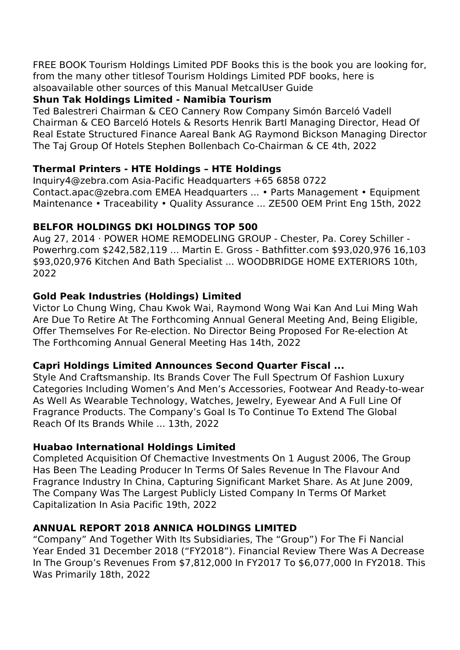FREE BOOK Tourism Holdings Limited PDF Books this is the book you are looking for, from the many other titlesof Tourism Holdings Limited PDF books, here is alsoavailable other sources of this Manual MetcalUser Guide

## **Shun Tak Holdings Limited - Namibia Tourism**

Ted Balestreri Chairman & CEO Cannery Row Company Simón Barceló Vadell Chairman & CEO Barceló Hotels & Resorts Henrik Bartl Managing Director, Head Of Real Estate Structured Finance Aareal Bank AG Raymond Bickson Managing Director The Taj Group Of Hotels Stephen Bollenbach Co-Chairman & CE 4th, 2022

# **Thermal Printers - HTE Holdings – HTE Holdings**

Inquiry4@zebra.com Asia-Pacific Headquarters +65 6858 0722 Contact.apac@zebra.com EMEA Headquarters ... • Parts Management • Equipment Maintenance • Traceability • Quality Assurance ... ZE500 OEM Print Eng 15th, 2022

# **BELFOR HOLDINGS DKI HOLDINGS TOP 500**

Aug 27, 2014 · POWER HOME REMODELING GROUP - Chester, Pa. Corey Schiller - Powerhrg.com \$242,582,119 ... Martin E. Gross - Bathfitter.com \$93,020,976 16,103 \$93,020,976 Kitchen And Bath Specialist ... WOODBRIDGE HOME EXTERIORS 10th, 2022

# **Gold Peak Industries (Holdings) Limited**

Victor Lo Chung Wing, Chau Kwok Wai, Raymond Wong Wai Kan And Lui Ming Wah Are Due To Retire At The Forthcoming Annual General Meeting And, Being Eligible, Offer Themselves For Re-election. No Director Being Proposed For Re-election At The Forthcoming Annual General Meeting Has 14th, 2022

### **Capri Holdings Limited Announces Second Quarter Fiscal ...**

Style And Craftsmanship. Its Brands Cover The Full Spectrum Of Fashion Luxury Categories Including Women's And Men's Accessories, Footwear And Ready-to-wear As Well As Wearable Technology, Watches, Jewelry, Eyewear And A Full Line Of Fragrance Products. The Company's Goal Is To Continue To Extend The Global Reach Of Its Brands While ... 13th, 2022

# **Huabao International Holdings Limited**

Completed Acquisition Of Chemactive Investments On 1 August 2006, The Group Has Been The Leading Producer In Terms Of Sales Revenue In The Flavour And Fragrance Industry In China, Capturing Significant Market Share. As At June 2009, The Company Was The Largest Publicly Listed Company In Terms Of Market Capitalization In Asia Pacific 19th, 2022

# **ANNUAL REPORT 2018 ANNICA HOLDINGS LIMITED**

"Company" And Together With Its Subsidiaries, The "Group") For The Fi Nancial Year Ended 31 December 2018 ("FY2018"). Financial Review There Was A Decrease In The Group's Revenues From \$7,812,000 In FY2017 To \$6,077,000 In FY2018. This Was Primarily 18th, 2022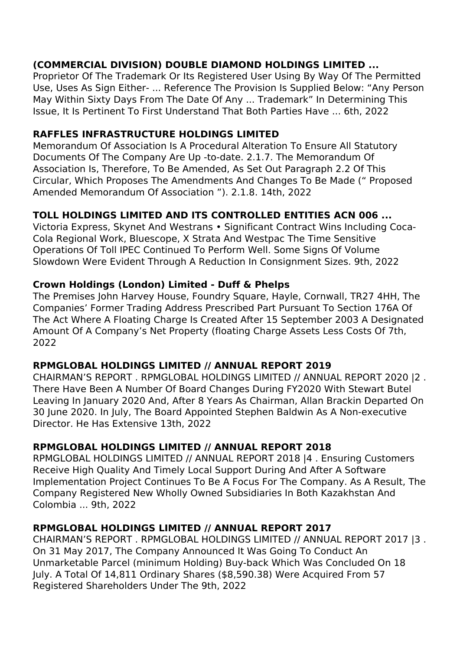# **(COMMERCIAL DIVISION) DOUBLE DIAMOND HOLDINGS LIMITED ...**

Proprietor Of The Trademark Or Its Registered User Using By Way Of The Permitted Use, Uses As Sign Either- ... Reference The Provision Is Supplied Below: "Any Person May Within Sixty Days From The Date Of Any ... Trademark" In Determining This Issue, It Is Pertinent To First Understand That Both Parties Have ... 6th, 2022

### **RAFFLES INFRASTRUCTURE HOLDINGS LIMITED**

Memorandum Of Association Is A Procedural Alteration To Ensure All Statutory Documents Of The Company Are Up -to-date. 2.1.7. The Memorandum Of Association Is, Therefore, To Be Amended, As Set Out Paragraph 2.2 Of This Circular, Which Proposes The Amendments And Changes To Be Made (" Proposed Amended Memorandum Of Association "). 2.1.8. 14th, 2022

### **TOLL HOLDINGS LIMITED AND ITS CONTROLLED ENTITIES ACN 006 ...**

Victoria Express, Skynet And Westrans • Significant Contract Wins Including Coca-Cola Regional Work, Bluescope, X Strata And Westpac The Time Sensitive Operations Of Toll IPEC Continued To Perform Well. Some Signs Of Volume Slowdown Were Evident Through A Reduction In Consignment Sizes. 9th, 2022

### **Crown Holdings (London) Limited - Duff & Phelps**

The Premises John Harvey House, Foundry Square, Hayle, Cornwall, TR27 4HH, The Companies' Former Trading Address Prescribed Part Pursuant To Section 176A Of The Act Where A Floating Charge Is Created After 15 September 2003 A Designated Amount Of A Company's Net Property (floating Charge Assets Less Costs Of 7th, 2022

### **RPMGLOBAL HOLDINGS LIMITED // ANNUAL REPORT 2019**

CHAIRMAN'S REPORT . RPMGLOBAL HOLDINGS LIMITED // ANNUAL REPORT 2020 |2 . There Have Been A Number Of Board Changes During FY2020 With Stewart Butel Leaving In January 2020 And, After 8 Years As Chairman, Allan Brackin Departed On 30 June 2020. In July, The Board Appointed Stephen Baldwin As A Non-executive Director. He Has Extensive 13th, 2022

### **RPMGLOBAL HOLDINGS LIMITED // ANNUAL REPORT 2018**

RPMGLOBAL HOLDINGS LIMITED // ANNUAL REPORT 2018 |4 . Ensuring Customers Receive High Quality And Timely Local Support During And After A Software Implementation Project Continues To Be A Focus For The Company. As A Result, The Company Registered New Wholly Owned Subsidiaries In Both Kazakhstan And Colombia ... 9th, 2022

### **RPMGLOBAL HOLDINGS LIMITED // ANNUAL REPORT 2017**

CHAIRMAN'S REPORT . RPMGLOBAL HOLDINGS LIMITED // ANNUAL REPORT 2017 |3 . On 31 May 2017, The Company Announced It Was Going To Conduct An Unmarketable Parcel (minimum Holding) Buy-back Which Was Concluded On 18 July. A Total Of 14,811 Ordinary Shares (\$8,590.38) Were Acquired From 57 Registered Shareholders Under The 9th, 2022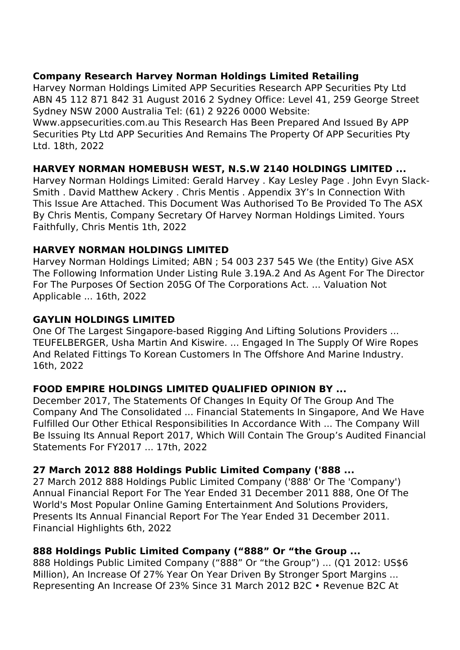## **Company Research Harvey Norman Holdings Limited Retailing**

Harvey Norman Holdings Limited APP Securities Research APP Securities Pty Ltd ABN 45 112 871 842 31 August 2016 2 Sydney Office: Level 41, 259 George Street Sydney NSW 2000 Australia Tel: (61) 2 9226 0000 Website:

Www.appsecurities.com.au This Research Has Been Prepared And Issued By APP Securities Pty Ltd APP Securities And Remains The Property Of APP Securities Pty Ltd. 18th, 2022

# **HARVEY NORMAN HOMEBUSH WEST, N.S.W 2140 HOLDINGS LIMITED ...**

Harvey Norman Holdings Limited: Gerald Harvey . Kay Lesley Page . John Evyn Slack-Smith . David Matthew Ackery . Chris Mentis . Appendix 3Y's In Connection With This Issue Are Attached. This Document Was Authorised To Be Provided To The ASX By Chris Mentis, Company Secretary Of Harvey Norman Holdings Limited. Yours Faithfully, Chris Mentis 1th, 2022

# **HARVEY NORMAN HOLDINGS LIMITED**

Harvey Norman Holdings Limited; ABN ; 54 003 237 545 We (the Entity) Give ASX The Following Information Under Listing Rule 3.19A.2 And As Agent For The Director For The Purposes Of Section 205G Of The Corporations Act. ... Valuation Not Applicable ... 16th, 2022

## **GAYLIN HOLDINGS LIMITED**

One Of The Largest Singapore-based Rigging And Lifting Solutions Providers ... TEUFELBERGER, Usha Martin And Kiswire. ... Engaged In The Supply Of Wire Ropes And Related Fittings To Korean Customers In The Offshore And Marine Industry. 16th, 2022

# **FOOD EMPIRE HOLDINGS LIMITED QUALIFIED OPINION BY ...**

December 2017, The Statements Of Changes In Equity Of The Group And The Company And The Consolidated ... Financial Statements In Singapore, And We Have Fulfilled Our Other Ethical Responsibilities In Accordance With ... The Company Will Be Issuing Its Annual Report 2017, Which Will Contain The Group's Audited Financial Statements For FY2017 ... 17th, 2022

### **27 March 2012 888 Holdings Public Limited Company ('888 ...**

27 March 2012 888 Holdings Public Limited Company ('888' Or The 'Company') Annual Financial Report For The Year Ended 31 December 2011 888, One Of The World's Most Popular Online Gaming Entertainment And Solutions Providers, Presents Its Annual Financial Report For The Year Ended 31 December 2011. Financial Highlights 6th, 2022

### **888 Holdings Public Limited Company ("888" Or "the Group ...**

888 Holdings Public Limited Company ("888" Or "the Group") ... (Q1 2012: US\$6 Million), An Increase Of 27% Year On Year Driven By Stronger Sport Margins ... Representing An Increase Of 23% Since 31 March 2012 B2C • Revenue B2C At